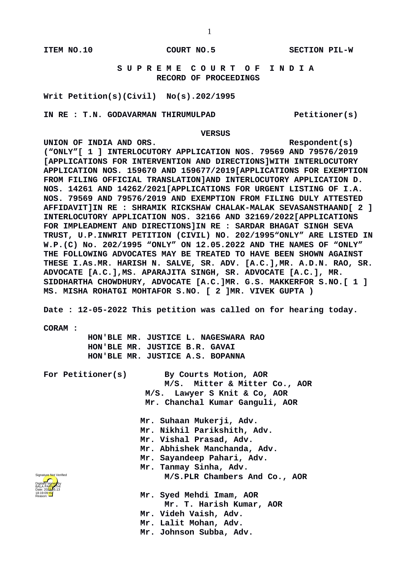## **S U P R E M E C O U R T O F I N D I A RECORD OF PROCEEDINGS**

**Writ Petition(s)(Civil) No(s).202/1995**

IN RE : T.N. GODAVARMAN THIRUMULPAD **Petitioner(s)** 

## **VERSUS**

UNION OF INDIA AND ORS. Respondent(s) **("ONLY"[ 1 ] INTERLOCUTORY APPLICATION NOS. 79569 AND 79576/2019 [APPLICATIONS FOR INTERVENTION AND DIRECTIONS]WITH INTERLOCUTORY APPLICATION NOS. 159670 AND 159677/2019[APPLICATIONS FOR EXEMPTION FROM FILING OFFICIAL TRANSLATION]AND INTERLOCUTORY APPLICATION D. NOS. 14261 AND 14262/2021[APPLICATIONS FOR URGENT LISTING OF I.A. NOS. 79569 AND 79576/2019 AND EXEMPTION FROM FILING DULY ATTESTED AFFIDAVIT]IN RE : SHRAMIK RICKSHAW CHALAK-MALAK SEVASANSTHAAND[ 2 ] INTERLOCUTORY APPLICATION NOS. 32166 AND 32169/2022[APPLICATIONS FOR IMPLEADMENT AND DIRECTIONS]IN RE : SARDAR BHAGAT SINGH SEVA TRUST, U.P.INWRIT PETITION (CIVIL) NO. 202/1995"ONLY" ARE LISTED IN W.P.(C) No. 202/1995 "ONLY" ON 12.05.2022 AND THE NAMES OF "ONLY" THE FOLLOWING ADVOCATES MAY BE TREATED TO HAVE BEEN SHOWN AGAINST THESE I.As.MR. HARISH N. SALVE, SR. ADV. [A.C.],MR. A.D.N. RAO, SR. ADVOCATE [A.C.],MS. APARAJITA SINGH, SR. ADVOCATE [A.C.], MR. SIDDHARTHA CHOWDHURY, ADVOCATE [A.C.]MR. G.S. MAKKERFOR S.NO.[ 1 ] MS. MISHA ROHATGI MOHTAFOR S.NO. [ 2 ]MR. VIVEK GUPTA )**

**Date : 12-05-2022 This petition was called on for hearing today.**

**CORAM :** 

 **HON'BLE MR. JUSTICE L. NAGESWARA RAO HON'BLE MR. JUSTICE B.R. GAVAI HON'BLE MR. JUSTICE A.S. BOPANNA**

**For Petitioner(s) By Courts Motion, AOR M/S. Mitter & Mitter Co., AOR M/S. Lawyer S Knit & Co, AOR Mr. Chanchal Kumar Ganguli, AOR**

> **Mr. Suhaan Mukerji, Adv. Mr. Nikhil Parikshith, Adv. Mr. Vishal Prasad, Adv. Mr. Abhishek Manchanda, Adv. Mr. Sayandeep Pahari, Adv. Mr. Tanmay Sinha, Adv. M/S.PLR Chambers And Co., AOR**

Digitally signed by BALA PA<mark>RV</mark>ATHI Date: 2022.05.13 18:19:09<sup>1ST</sup> Reason: Signature Not Verified

- **Mr. Syed Mehdi Imam, AOR Mr. T. Harish Kumar, AOR Mr. Videh Vaish, Adv. Mr. Lalit Mohan, Adv.**
- **Mr. Johnson Subba, Adv.**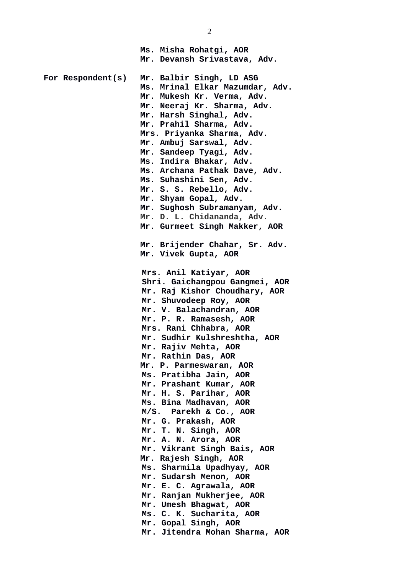**Ms. Misha Rohatgi, AOR Mr. Devansh Srivastava, Adv. For Respondent(s) Mr. Balbir Singh, LD ASG Ms. Mrinal Elkar Mazumdar, Adv. Mr. Mukesh Kr. Verma, Adv. Mr. Neeraj Kr. Sharma, Adv. Mr. Harsh Singhal, Adv. Mr. Prahil Sharma, Adv. Mrs. Priyanka Sharma, Adv. Mr. Ambuj Sarswal, Adv. Mr. Sandeep Tyagi, Adv. Ms. Indira Bhakar, Adv. Ms. Archana Pathak Dave, Adv. Ms. Suhashini Sen, Adv. Mr. S. S. Rebello, Adv. Mr. Shyam Gopal, Adv. Mr. Sughosh Subramanyam, Adv. Mr. D. L. Chidananda, Adv. Mr. Gurmeet Singh Makker, AOR Mr. Brijender Chahar, Sr. Adv. Mr. Vivek Gupta, AOR Mrs. Anil Katiyar, AOR Shri. Gaichangpou Gangmei, AOR Mr. Raj Kishor Choudhary, AOR Mr. Shuvodeep Roy, AOR Mr. V. Balachandran, AOR Mr. P. R. Ramasesh, AOR Mrs. Rani Chhabra, AOR Mr. Sudhir Kulshreshtha, AOR Mr. Rajiv Mehta, AOR Mr. Rathin Das, AOR Mr. P. Parmeswaran, AOR Ms. Pratibha Jain, AOR Mr. Prashant Kumar, AOR Mr. H. S. Parihar, AOR Ms. Bina Madhavan, AOR M/S. Parekh & Co., AOR Mr. G. Prakash, AOR Mr. T. N. Singh, AOR Mr. A. N. Arora, AOR Mr. Vikrant Singh Bais, AOR Mr. Rajesh Singh, AOR Ms. Sharmila Upadhyay, AOR Mr. Sudarsh Menon, AOR Mr. E. C. Agrawala, AOR Mr. Ranjan Mukherjee, AOR Mr. Umesh Bhagwat, AOR Ms. C. K. Sucharita, AOR Mr. Gopal Singh, AOR Mr. Jitendra Mohan Sharma, AOR**

2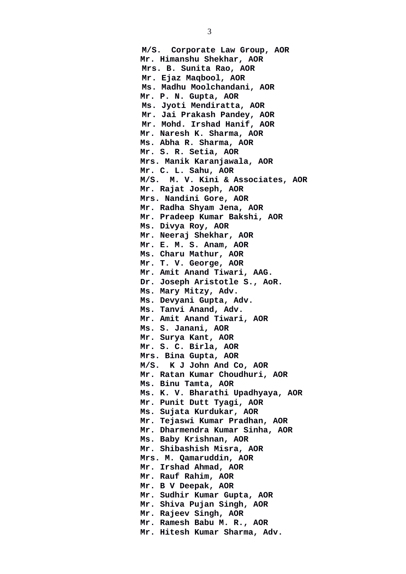**M/S. Corporate Law Group, AOR Mr. Himanshu Shekhar, AOR Mrs. B. Sunita Rao, AOR Mr. Ejaz Maqbool, AOR Ms. Madhu Moolchandani, AOR Mr. P. N. Gupta, AOR Ms. Jyoti Mendiratta, AOR Mr. Jai Prakash Pandey, AOR Mr. Mohd. Irshad Hanif, AOR Mr. Naresh K. Sharma, AOR Ms. Abha R. Sharma, AOR Mr. S. R. Setia, AOR Mrs. Manik Karanjawala, AOR Mr. C. L. Sahu, AOR M/S. M. V. Kini & Associates, AOR Mr. Rajat Joseph, AOR Mrs. Nandini Gore, AOR Mr. Radha Shyam Jena, AOR Mr. Pradeep Kumar Bakshi, AOR Ms. Divya Roy, AOR Mr. Neeraj Shekhar, AOR Mr. E. M. S. Anam, AOR Ms. Charu Mathur, AOR Mr. T. V. George, AOR Mr. Amit Anand Tiwari, AAG. Dr. Joseph Aristotle S., AoR. Ms. Mary Mitzy, Adv. Ms. Devyani Gupta, Adv. Ms. Tanvi Anand, Adv. Mr. Amit Anand Tiwari, AOR Ms. S. Janani, AOR Mr. Surya Kant, AOR Mr. S. C. Birla, AOR Mrs. Bina Gupta, AOR M/S. K J John And Co, AOR Mr. Ratan Kumar Choudhuri, AOR Ms. Binu Tamta, AOR Ms. K. V. Bharathi Upadhyaya, AOR Mr. Punit Dutt Tyagi, AOR Ms. Sujata Kurdukar, AOR Mr. Tejaswi Kumar Pradhan, AOR Mr. Dharmendra Kumar Sinha, AOR Ms. Baby Krishnan, AOR Mr. Shibashish Misra, AOR Mrs. M. Qamaruddin, AOR Mr. Irshad Ahmad, AOR Mr. Rauf Rahim, AOR Mr. B V Deepak, AOR Mr. Sudhir Kumar Gupta, AOR Mr. Shiva Pujan Singh, AOR Mr. Rajeev Singh, AOR Mr. Ramesh Babu M. R., AOR Mr. Hitesh Kumar Sharma, Adv.**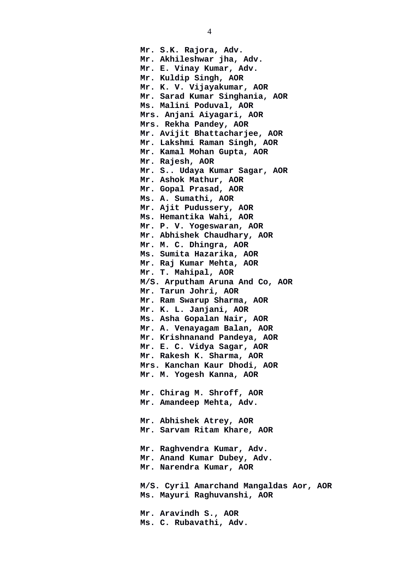**Mr. S.K. Rajora, Adv. Mr. Akhileshwar jha, Adv. Mr. E. Vinay Kumar, Adv. Mr. Kuldip Singh, AOR Mr. K. V. Vijayakumar, AOR Mr. Sarad Kumar Singhania, AOR Ms. Malini Poduval, AOR Mrs. Anjani Aiyagari, AOR Mrs. Rekha Pandey, AOR Mr. Avijit Bhattacharjee, AOR Mr. Lakshmi Raman Singh, AOR Mr. Kamal Mohan Gupta, AOR Mr. Rajesh, AOR Mr. S.. Udaya Kumar Sagar, AOR Mr. Ashok Mathur, AOR Mr. Gopal Prasad, AOR Ms. A. Sumathi, AOR Mr. Ajit Pudussery, AOR Ms. Hemantika Wahi, AOR Mr. P. V. Yogeswaran, AOR Mr. Abhishek Chaudhary, AOR Mr. M. C. Dhingra, AOR Ms. Sumita Hazarika, AOR Mr. Raj Kumar Mehta, AOR Mr. T. Mahipal, AOR M/S. Arputham Aruna And Co, AOR Mr. Tarun Johri, AOR Mr. Ram Swarup Sharma, AOR Mr. K. L. Janjani, AOR Ms. Asha Gopalan Nair, AOR Mr. A. Venayagam Balan, AOR Mr. Krishnanand Pandeya, AOR Mr. E. C. Vidya Sagar, AOR Mr. Rakesh K. Sharma, AOR Mrs. Kanchan Kaur Dhodi, AOR Mr. M. Yogesh Kanna, AOR Mr. Chirag M. Shroff, AOR Mr. Amandeep Mehta, Adv. Mr. Abhishek Atrey, AOR Mr. Sarvam Ritam Khare, AOR Mr. Raghvendra Kumar, Adv. Mr. Anand Kumar Dubey, Adv. Mr. Narendra Kumar, AOR M/S. Cyril Amarchand Mangaldas Aor, AOR Ms. Mayuri Raghuvanshi, AOR Mr. Aravindh S., AOR Ms. C. Rubavathi, Adv.**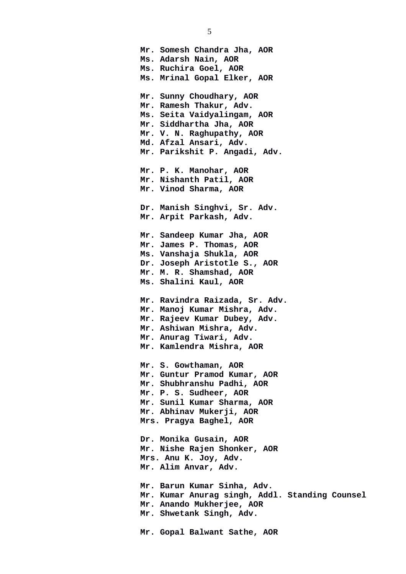**Mr. Somesh Chandra Jha, AOR Ms. Adarsh Nain, AOR Ms. Ruchira Goel, AOR Ms. Mrinal Gopal Elker, AOR Mr. Sunny Choudhary, AOR Mr. Ramesh Thakur, Adv. Ms. Seita Vaidyalingam, AOR Mr. Siddhartha Jha, AOR Mr. V. N. Raghupathy, AOR Md. Afzal Ansari, Adv. Mr. Parikshit P. Angadi, Adv. Mr. P. K. Manohar, AOR Mr. Nishanth Patil, AOR Mr. Vinod Sharma, AOR Dr. Manish Singhvi, Sr. Adv. Mr. Arpit Parkash, Adv. Mr. Sandeep Kumar Jha, AOR Mr. James P. Thomas, AOR Ms. Vanshaja Shukla, AOR Dr. Joseph Aristotle S., AOR Mr. M. R. Shamshad, AOR Ms. Shalini Kaul, AOR Mr. Ravindra Raizada, Sr. Adv. Mr. Manoj Kumar Mishra, Adv. Mr. Rajeev Kumar Dubey, Adv. Mr. Ashiwan Mishra, Adv. Mr. Anurag Tiwari, Adv. Mr. Kamlendra Mishra, AOR Mr. S. Gowthaman, AOR Mr. Guntur Pramod Kumar, AOR Mr. Shubhranshu Padhi, AOR Mr. P. S. Sudheer, AOR Mr. Sunil Kumar Sharma, AOR Mr. Abhinav Mukerji, AOR Mrs. Pragya Baghel, AOR Dr. Monika Gusain, AOR Mr. Nishe Rajen Shonker, AOR Mrs. Anu K. Joy, Adv. Mr. Alim Anvar, Adv. Mr. Barun Kumar Sinha, Adv. Mr. Kumar Anurag singh, Addl. Standing Counsel Mr. Anando Mukherjee, AOR Mr. Shwetank Singh, Adv. Mr. Gopal Balwant Sathe, AOR**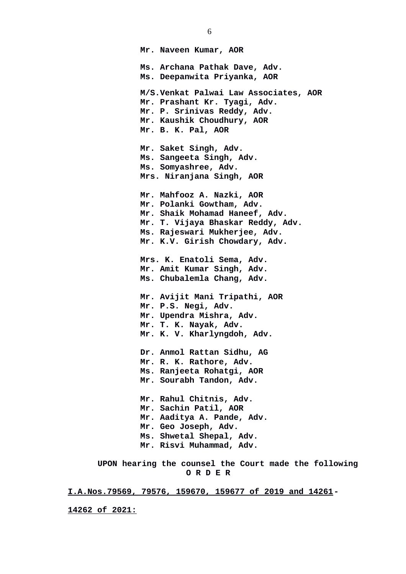**Mr. Naveen Kumar, AOR Ms. Archana Pathak Dave, Adv. Ms. Deepanwita Priyanka, AOR M/S.Venkat Palwai Law Associates, AOR Mr. Prashant Kr. Tyagi, Adv. Mr. P. Srinivas Reddy, Adv. Mr. Kaushik Choudhury, AOR Mr. B. K. Pal, AOR Mr. Saket Singh, Adv. Ms. Sangeeta Singh, Adv. Ms. Somyashree, Adv. Mrs. Niranjana Singh, AOR Mr. Mahfooz A. Nazki, AOR Mr. Polanki Gowtham, Adv. Mr. Shaik Mohamad Haneef, Adv. Mr. T. Vijaya Bhaskar Reddy, Adv. Ms. Rajeswari Mukherjee, Adv. Mr. K.V. Girish Chowdary, Adv. Mrs. K. Enatoli Sema, Adv. Mr. Amit Kumar Singh, Adv. Ms. Chubalemla Chang, Adv. Mr. Avijit Mani Tripathi, AOR Mr. P.S. Negi, Adv. Mr. Upendra Mishra, Adv. Mr. T. K. Nayak, Adv. Mr. K. V. Kharlyngdoh, Adv. Dr. Anmol Rattan Sidhu, AG Mr. R. K. Rathore, Adv. Ms. Ranjeeta Rohatgi, AOR Mr. Sourabh Tandon, Adv. Mr. Rahul Chitnis, Adv. Mr. Sachin Patil, AOR Mr. Aaditya A. Pande, Adv. Mr. Geo Joseph, Adv. Ms. Shwetal Shepal, Adv. Mr. Risvi Muhammad, Adv. UPON hearing the counsel the Court made the following**

 **O R D E R**

 **I.A.Nos.79569, 79576, 159670, 159677 of 2019 and 14261-**

**14262 of 2021:**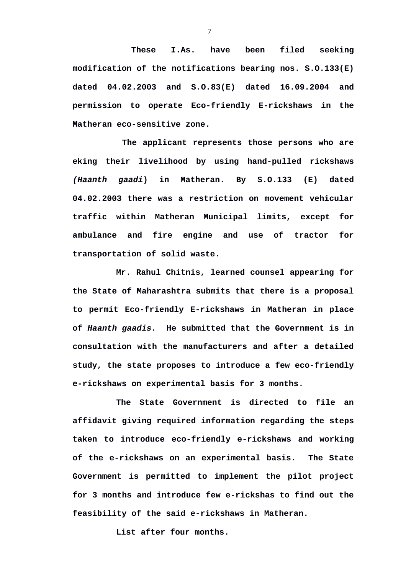**These I.As. have been filed seeking modification of the notifications bearing nos. S.O.133(E) dated 04.02.2003 and S.O.83(E) dated 16.09.2004 and permission to operate Eco-friendly E-rickshaws in the Matheran eco-sensitive zone.**

 **The applicant represents those persons who are eking their livelihood by using hand-pulled rickshaws** *(Haanth gaadi***) in Matheran. By S.O.133 (E) dated 04.02.2003 there was a restriction on movement vehicular traffic within Matheran Municipal limits, except for ambulance and fire engine and use of tractor for transportation of solid waste.** 

**Mr. Rahul Chitnis, learned counsel appearing for the State of Maharashtra submits that there is a proposal to permit Eco-friendly E-rickshaws in Matheran in place of** *Haanth gaadis.* **He submitted that the Government is in consultation with the manufacturers and after a detailed study, the state proposes to introduce a few eco-friendly e-rickshaws on experimental basis for 3 months.** 

**The State Government is directed to file an affidavit giving required information regarding the steps taken to introduce eco-friendly e-rickshaws and working of the e-rickshaws on an experimental basis. The State Government is permitted to implement the pilot project for 3 months and introduce few e-rickshas to find out the feasibility of the said e-rickshaws in Matheran.**

**List after four months.**

7